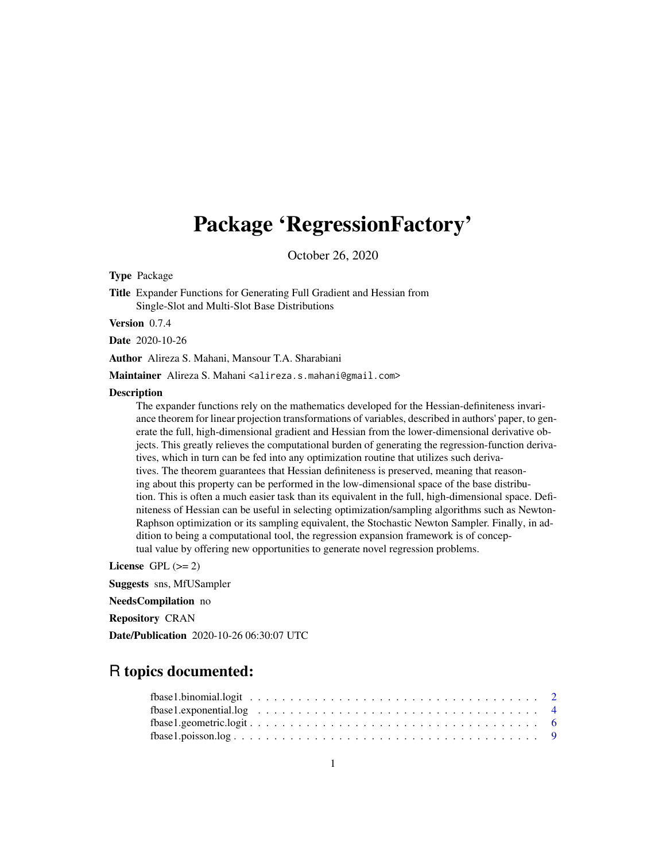## Package 'RegressionFactory'

October 26, 2020

Type Package

Title Expander Functions for Generating Full Gradient and Hessian from Single-Slot and Multi-Slot Base Distributions

Version 0.7.4

Date 2020-10-26

Author Alireza S. Mahani, Mansour T.A. Sharabiani

Maintainer Alireza S. Mahani <alireza.s.mahani@gmail.com>

#### **Description**

The expander functions rely on the mathematics developed for the Hessian-definiteness invariance theorem for linear projection transformations of variables, described in authors' paper, to generate the full, high-dimensional gradient and Hessian from the lower-dimensional derivative objects. This greatly relieves the computational burden of generating the regression-function derivatives, which in turn can be fed into any optimization routine that utilizes such derivatives. The theorem guarantees that Hessian definiteness is preserved, meaning that reasoning about this property can be performed in the low-dimensional space of the base distribution. This is often a much easier task than its equivalent in the full, high-dimensional space. Definiteness of Hessian can be useful in selecting optimization/sampling algorithms such as Newton-Raphson optimization or its sampling equivalent, the Stochastic Newton Sampler. Finally, in addition to being a computational tool, the regression expansion framework is of conceptual value by offering new opportunities to generate novel regression problems.

License GPL  $(>= 2)$ 

Suggests sns, MfUSampler

NeedsCompilation no

Repository CRAN

Date/Publication 2020-10-26 06:30:07 UTC

### R topics documented: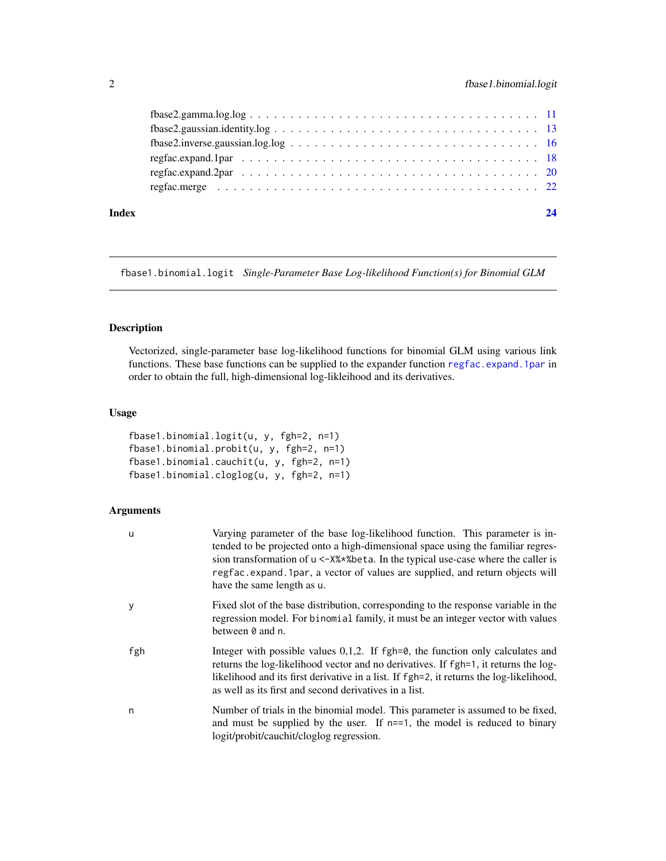<span id="page-1-0"></span>

| Index |                                                                                                         |  |
|-------|---------------------------------------------------------------------------------------------------------|--|
|       |                                                                                                         |  |
|       |                                                                                                         |  |
|       |                                                                                                         |  |
|       |                                                                                                         |  |
|       | $fbase2.gaussian_identity.log \ldots \ldots \ldots \ldots \ldots \ldots \ldots \ldots \ldots \ldots 13$ |  |
|       | $fbase2. gamma.log.log \ldots \ldots \ldots \ldots \ldots \ldots \ldots \ldots \ldots \ldots \ldots 11$ |  |
|       |                                                                                                         |  |

fbase1.binomial.logit *Single-Parameter Base Log-likelihood Function(s) for Binomial GLM*

#### Description

Vectorized, single-parameter base log-likelihood functions for binomial GLM using various link functions. These base functions can be supplied to the expander function [regfac.expand.1par](#page-17-1) in order to obtain the full, high-dimensional log-likleihood and its derivatives.

#### Usage

```
fbase1.binomial.logit(u, y, fgh=2, n=1)
fbase1.binomial.probit(u, y, fgh=2, n=1)
fbase1.binomial.cauchit(u, y, fgh=2, n=1)
fbase1.binomial.cloglog(u, y, fgh=2, n=1)
```
#### Arguments

| u   | Varying parameter of the base log-likelihood function. This parameter is in-<br>tended to be projected onto a high-dimensional space using the familiar regres-<br>sion transformation of u <- X%*% beta. In the typical use-case where the caller is<br>regfac.expand.1par, a vector of values are supplied, and return objects will<br>have the same length as u. |
|-----|---------------------------------------------------------------------------------------------------------------------------------------------------------------------------------------------------------------------------------------------------------------------------------------------------------------------------------------------------------------------|
| У   | Fixed slot of the base distribution, corresponding to the response variable in the<br>regression model. For binomial family, it must be an integer vector with values<br>between 0 and n.                                                                                                                                                                           |
| fgh | Integer with possible values $0,1,2$ . If fgh=0, the function only calculates and<br>returns the log-likelihood vector and no derivatives. If fgh=1, it returns the log-<br>likelihood and its first derivative in a list. If fgh=2, it returns the log-likelihood,<br>as well as its first and second derivatives in a list.                                       |
| n   | Number of trials in the binomial model. This parameter is assumed to be fixed,<br>and must be supplied by the user. If $n == 1$ , the model is reduced to binary<br>logit/probit/cauchit/cloglog regression.                                                                                                                                                        |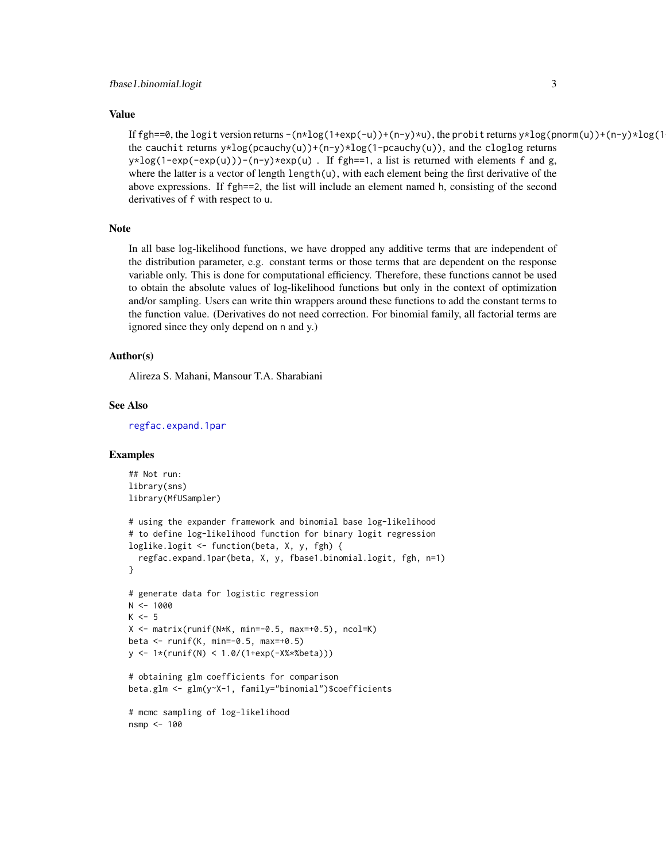#### Value

If fgh==0, the logit version returns  $-(n \times \log(1+\exp(-u)) + (n-y) \times u)$ , the probit returns  $y \times \log(pnorm(u)) + (n-y) \times \log(1-\exp(-u))$ the cauchit returns  $y * log(pcauchy(u)) + (n-y) * log(1-pcauchy(u))$ , and the cloglog returns  $y * log(1-exp(-exp(u)))-(n-y) * exp(u)$ . If fgh==1, a list is returned with elements f and g, where the latter is a vector of length length(u), with each element being the first derivative of the above expressions. If fgh==2, the list will include an element named h, consisting of the second derivatives of f with respect to u.

#### Note

In all base log-likelihood functions, we have dropped any additive terms that are independent of the distribution parameter, e.g. constant terms or those terms that are dependent on the response variable only. This is done for computational efficiency. Therefore, these functions cannot be used to obtain the absolute values of log-likelihood functions but only in the context of optimization and/or sampling. Users can write thin wrappers around these functions to add the constant terms to the function value. (Derivatives do not need correction. For binomial family, all factorial terms are ignored since they only depend on n and y.)

#### Author(s)

Alireza S. Mahani, Mansour T.A. Sharabiani

#### See Also

[regfac.expand.1par](#page-17-1)

```
## Not run:
library(sns)
library(MfUSampler)
# using the expander framework and binomial base log-likelihood
# to define log-likelihood function for binary logit regression
loglike.logit <- function(beta, X, y, fgh) {
  regfac.expand.1par(beta, X, y, fbase1.binomial.logit, fgh, n=1)
}
# generate data for logistic regression
N < - 1000K < -5X <- matrix(runif(N*K, min=-0.5, max=+0.5), ncol=K)
beta <- runif(K, min=-0.5, max=+0.5)
y <- 1*(runif(N) < 1.0/(1+exp(-X%*%beta)))
# obtaining glm coefficients for comparison
beta.glm <- glm(y~X-1, family="binomial")$coefficients
# mcmc sampling of log-likelihood
nsmp <- 100
```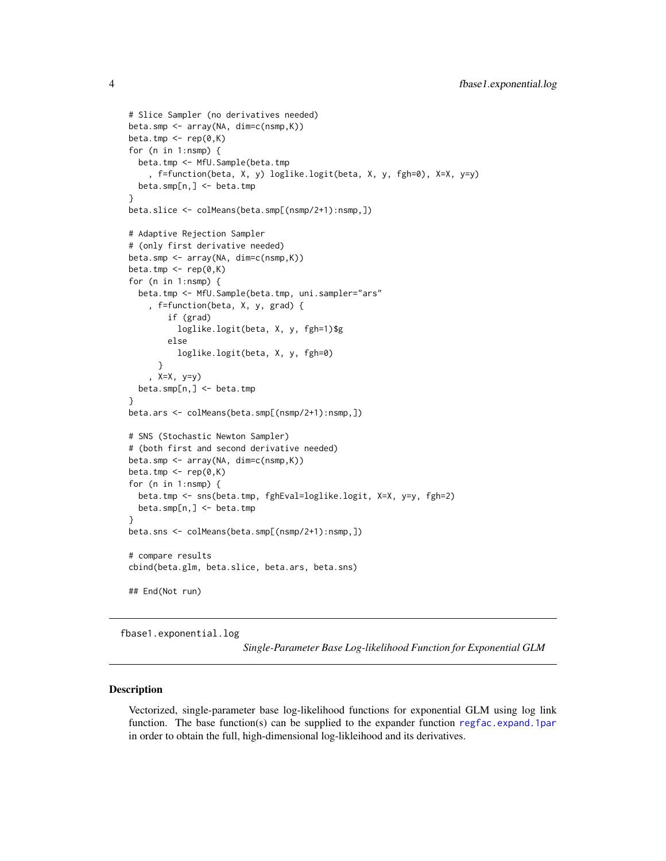```
# Slice Sampler (no derivatives needed)
beta.smp <- array(NA, dim=c(nsmp,K))
beta.tmp <- rep(0,K)
for (n in 1:nsmp) {
  beta.tmp <- MfU.Sample(beta.tmp
    , f=function(beta, X, y) loglike.logit(beta, X, y, fgh=0), X=X, y=y)
  beta.smp[n,] <- beta.tmp
}
beta.slice <- colMeans(beta.smp[(nsmp/2+1):nsmp,])
# Adaptive Rejection Sampler
# (only first derivative needed)
beta.smp <- array(NA, dim=c(nsmp,K))
beta.tmp \leq rep(0,K)
for (n in 1:nsmp) {
  beta.tmp <- MfU.Sample(beta.tmp, uni.sampler="ars"
    , f=function(beta, X, y, grad) {
        if (grad)
          loglike.logit(beta, X, y, fgh=1)$g
        else
          loglike.logit(beta, X, y, fgh=0)
      }
    , X=X, y=y)
  beta.smp[n,] <- beta.tmp
}
beta.ars <- colMeans(beta.smp[(nsmp/2+1):nsmp,])
# SNS (Stochastic Newton Sampler)
# (both first and second derivative needed)
beta.smp <- array(NA, dim=c(nsmp,K))
beta.tmp \leq rep(0,K)
for (n in 1:nsmp) {
  beta.tmp <- sns(beta.tmp, fghEval=loglike.logit, X=X, y=y, fgh=2)
  beta.smp[n,] <- beta.tmp
}
beta.sns <- colMeans(beta.smp[(nsmp/2+1):nsmp,])
# compare results
cbind(beta.glm, beta.slice, beta.ars, beta.sns)
## End(Not run)
```
fbase1.exponential.log

*Single-Parameter Base Log-likelihood Function for Exponential GLM*

#### Description

Vectorized, single-parameter base log-likelihood functions for exponential GLM using log link function. The base function(s) can be supplied to the expander function [regfac.expand.1par](#page-17-1) in order to obtain the full, high-dimensional log-likleihood and its derivatives.

<span id="page-3-0"></span>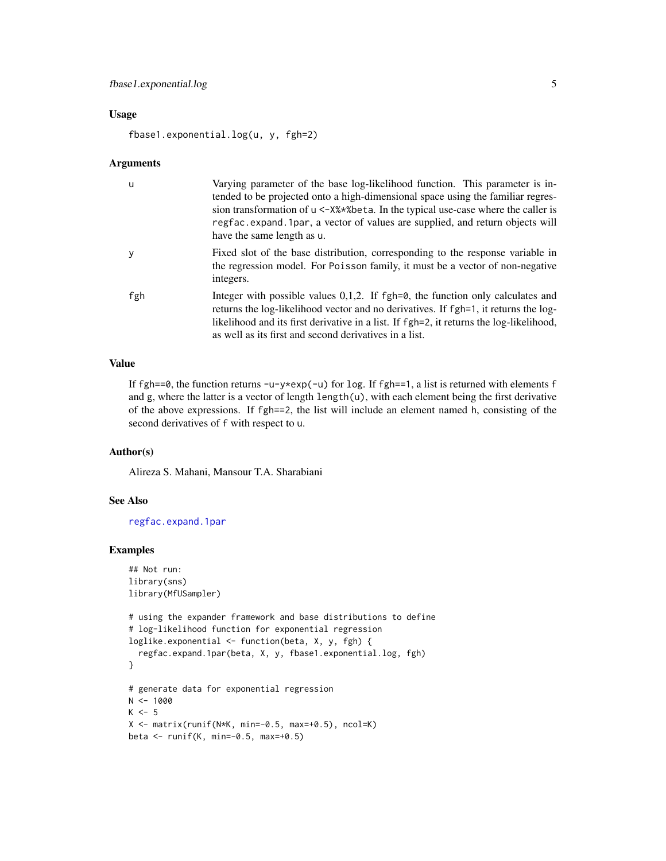#### <span id="page-4-0"></span>Usage

fbase1.exponential.log(u, y, fgh=2)

#### Arguments

| u   | Varying parameter of the base log-likelihood function. This parameter is in-<br>tended to be projected onto a high-dimensional space using the familiar regres-<br>sion transformation of $u < -X\$ \astbeta. In the typical use-case where the caller is<br>regfac. expand. 1 par, a vector of values are supplied, and return objects will<br>have the same length as u. |
|-----|----------------------------------------------------------------------------------------------------------------------------------------------------------------------------------------------------------------------------------------------------------------------------------------------------------------------------------------------------------------------------|
| у   | Fixed slot of the base distribution, corresponding to the response variable in<br>the regression model. For Poisson family, it must be a vector of non-negative<br>integers.                                                                                                                                                                                               |
| fgh | Integer with possible values $0,1,2$ . If fgh= $\theta$ , the function only calculates and<br>returns the log-likelihood vector and no derivatives. If fgh=1, it returns the log-<br>likelihood and its first derivative in a list. If fgh=2, it returns the log-likelihood,<br>as well as its first and second derivatives in a list.                                     |

#### Value

If fgh==0, the function returns  $-u-y*exp(-u)$  for log. If fgh==1, a list is returned with elements f and g, where the latter is a vector of length length(u), with each element being the first derivative of the above expressions. If fgh==2, the list will include an element named h, consisting of the second derivatives of f with respect to u.

#### Author(s)

Alireza S. Mahani, Mansour T.A. Sharabiani

#### See Also

[regfac.expand.1par](#page-17-1)

```
## Not run:
library(sns)
library(MfUSampler)
# using the expander framework and base distributions to define
# log-likelihood function for exponential regression
loglike.exponential <- function(beta, X, y, fgh) {
  regfac.expand.1par(beta, X, y, fbase1.exponential.log, fgh)
}
# generate data for exponential regression
N < - 1000K < -5X \leq matrix(runif(N*K, min=-0.5, max=+0.5), ncol=K)
beta <- runif(K, min=-0.5, max=+0.5)
```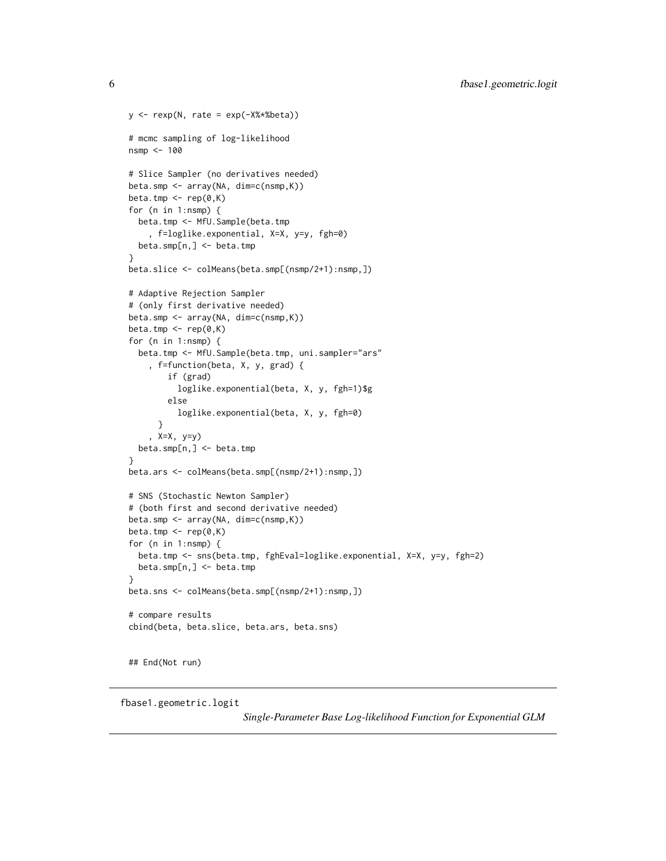```
y \leftarrow \text{resp}(N, \text{ rate} = \text{exp}(-X\text{***} \text{beta}))# mcmc sampling of log-likelihood
nsmp <- 100
# Slice Sampler (no derivatives needed)
beta.smp <- array(NA, dim=c(nsmp,K))
beta.tmp \leq rep(0,K)
for (n in 1:nsmp) {
  beta.tmp <- MfU.Sample(beta.tmp
    , f=loglike.exponential, X=X, y=y, fgh=0)
  beta.smp[n,] <- beta.tmp
}
beta.slice <- colMeans(beta.smp[(nsmp/2+1):nsmp,])
# Adaptive Rejection Sampler
# (only first derivative needed)
beta.smp <- array(NA, dim=c(nsmp,K))
beta.tmp \leq rep(0,K)
for (n in 1:nsmp) {
  beta.tmp <- MfU.Sample(beta.tmp, uni.sampler="ars"
    , f=function(beta, X, y, grad) {
        if (grad)
          loglike.exponential(beta, X, y, fgh=1)$g
        else
          loglike.exponential(beta, X, y, fgh=0)
      }
    , X=X, y=y)
 beta.smp[n,] <- beta.tmp
}
beta.ars <- colMeans(beta.smp[(nsmp/2+1):nsmp,])
# SNS (Stochastic Newton Sampler)
# (both first and second derivative needed)
beta.smp <- array(NA, dim=c(nsmp,K))
beta.tmp <- rep(0,K)
for (n in 1:nsmp) {
  beta.tmp <- sns(beta.tmp, fghEval=loglike.exponential, X=X, y=y, fgh=2)
  beta.smp[n,] <- beta.tmp
}
beta.sns <- colMeans(beta.smp[(nsmp/2+1):nsmp,])
# compare results
cbind(beta, beta.slice, beta.ars, beta.sns)
## End(Not run)
```
fbase1.geometric.logit

*Single-Parameter Base Log-likelihood Function for Exponential GLM*

<span id="page-5-0"></span>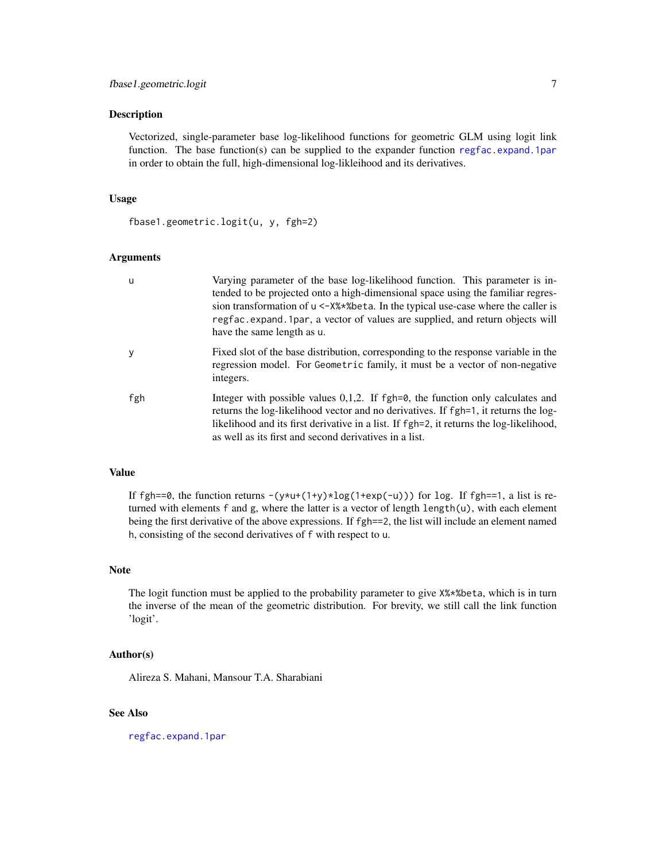#### <span id="page-6-0"></span>Description

Vectorized, single-parameter base log-likelihood functions for geometric GLM using logit link function. The base function(s) can be supplied to the expander function [regfac.expand.1par](#page-17-1) in order to obtain the full, high-dimensional log-likleihood and its derivatives.

#### Usage

fbase1.geometric.logit(u, y, fgh=2)

#### Arguments

| u   | Varying parameter of the base log-likelihood function. This parameter is in-<br>tended to be projected onto a high-dimensional space using the familiar regres-<br>sion transformation of $u < -X\$ \astbeta. In the typical use-case where the caller is<br>regfac. expand. 1 par, a vector of values are supplied, and return objects will<br>have the same length as u. |
|-----|----------------------------------------------------------------------------------------------------------------------------------------------------------------------------------------------------------------------------------------------------------------------------------------------------------------------------------------------------------------------------|
| y   | Fixed slot of the base distribution, corresponding to the response variable in the<br>regression model. For Geometric family, it must be a vector of non-negative<br>integers.                                                                                                                                                                                             |
| fgh | Integer with possible values $0,1,2$ . If fgh= $\theta$ , the function only calculates and<br>returns the log-likelihood vector and no derivatives. If fgh=1, it returns the log-<br>likelihood and its first derivative in a list. If fgh=2, it returns the log-likelihood,<br>as well as its first and second derivatives in a list.                                     |

#### Value

If fgh==0, the function returns  $-(y*u+(1+y)*log(1+exp(-u)))$  for log. If fgh==1, a list is returned with elements  $f$  and  $g$ , where the latter is a vector of length length $(u)$ , with each element being the first derivative of the above expressions. If fgh==2, the list will include an element named h, consisting of the second derivatives of f with respect to u.

#### Note

The logit function must be applied to the probability parameter to give X%\*%beta, which is in turn the inverse of the mean of the geometric distribution. For brevity, we still call the link function 'logit'.

#### Author(s)

Alireza S. Mahani, Mansour T.A. Sharabiani

#### See Also

[regfac.expand.1par](#page-17-1)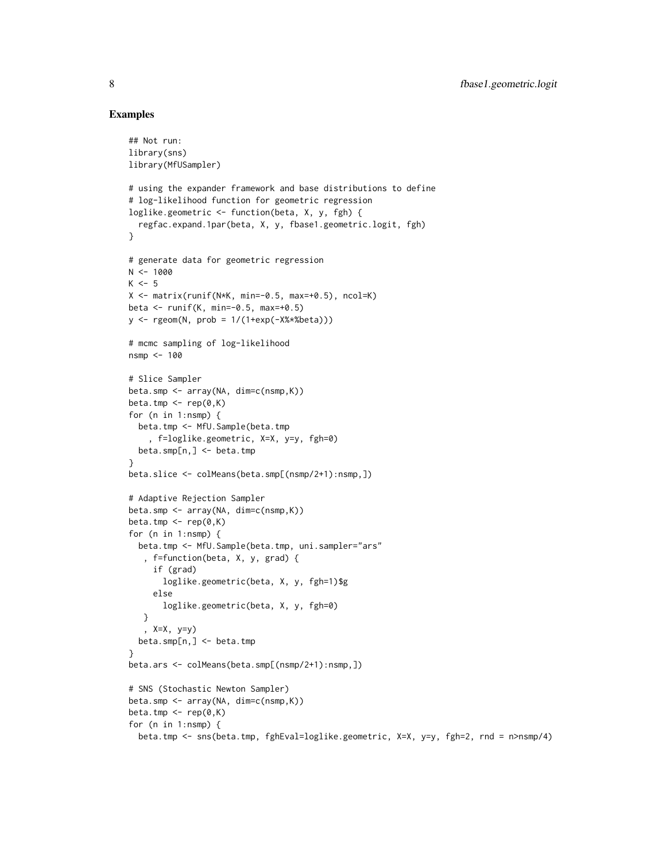#### Examples

## Not run:

```
library(sns)
library(MfUSampler)
# using the expander framework and base distributions to define
# log-likelihood function for geometric regression
loglike.geometric <- function(beta, X, y, fgh) {
  regfac.expand.1par(beta, X, y, fbase1.geometric.logit, fgh)
}
# generate data for geometric regression
N < - 1000K < -5X \le - matrix(runif(N*K, min=-0.5, max=+0.5), ncol=K)
beta \le runif(K, min=-0.5, max=+0.5)
y <- rgeom(N, prob = 1/(1+exp(-X%*%beta)))
# mcmc sampling of log-likelihood
nsmp <- 100
# Slice Sampler
beta.smp <- array(NA, dim=c(nsmp,K))
beta.tmp \leq rep(0,K)
for (n in 1:nsmp) {
 beta.tmp <- MfU.Sample(beta.tmp
    , f=loglike.geometric, X=X, y=y, fgh=0)
  beta.smp[n,] <- beta.tmp
}
beta.slice <- colMeans(beta.smp[(nsmp/2+1):nsmp,])
# Adaptive Rejection Sampler
beta.smp <- array(NA, dim=c(nsmp,K))
beta.tmp \leq rep(0,K)
for (n in 1:nsmp) {
  beta.tmp <- MfU.Sample(beta.tmp, uni.sampler="ars"
   , f=function(beta, X, y, grad) {
     if (grad)
      loglike.geometric(beta, X, y, fgh=1)$g
     else
       loglike.geometric(beta, X, y, fgh=0)
   }
   , X=X, y=y)
  beta.smp[n,] <- beta.tmp
}
beta.ars <- colMeans(beta.smp[(nsmp/2+1):nsmp,])
# SNS (Stochastic Newton Sampler)
beta.smp <- array(NA, dim=c(nsmp,K))
beta.tmp <- rep(0,K)
for (n in 1:nsmp) {
 beta.tmp <- sns(beta.tmp, fghEval=loglike.geometric, X=X, y=y, fgh=2, rnd = n>nsmp/4)
```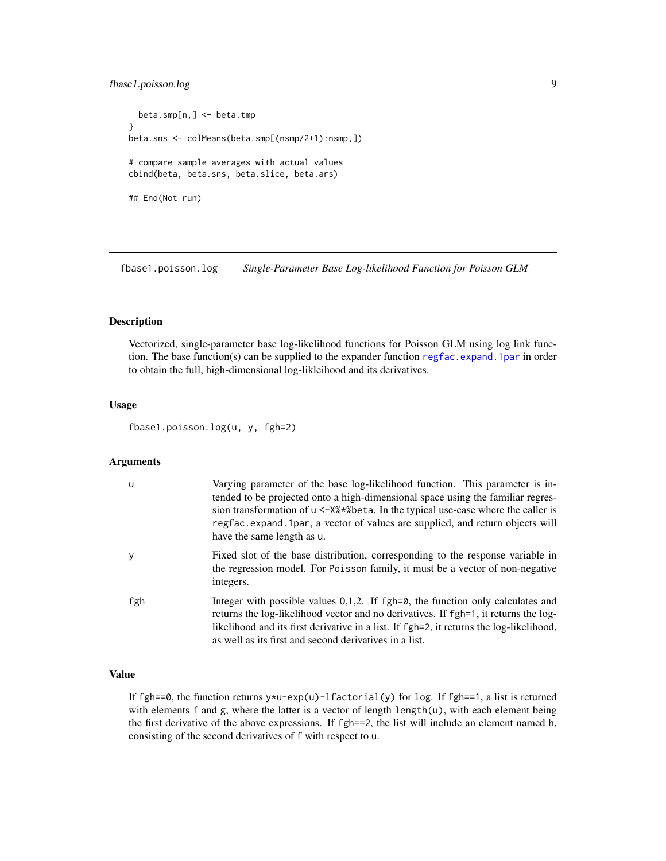#### <span id="page-8-0"></span>fbase1.poisson.log 9

beta.smp[n,] <- beta.tmp } beta.sns <- colMeans(beta.smp[(nsmp/2+1):nsmp,]) # compare sample averages with actual values cbind(beta, beta.sns, beta.slice, beta.ars) ## End(Not run)

fbase1.poisson.log *Single-Parameter Base Log-likelihood Function for Poisson GLM*

#### Description

Vectorized, single-parameter base log-likelihood functions for Poisson GLM using log link function. The base function(s) can be supplied to the expander function [regfac.expand.1par](#page-17-1) in order to obtain the full, high-dimensional log-likleihood and its derivatives.

#### Usage

fbase1.poisson.log(u, y, fgh=2)

#### Arguments

| u   | Varying parameter of the base log-likelihood function. This parameter is in-<br>tended to be projected onto a high-dimensional space using the familiar regres-<br>sion transformation of $u < -X\$ \ast\beta. In the typical use-case where the caller is<br>regfac. expand. 1 par, a vector of values are supplied, and return objects will<br>have the same length as u. |
|-----|-----------------------------------------------------------------------------------------------------------------------------------------------------------------------------------------------------------------------------------------------------------------------------------------------------------------------------------------------------------------------------|
| y   | Fixed slot of the base distribution, corresponding to the response variable in<br>the regression model. For Poisson family, it must be a vector of non-negative<br>integers.                                                                                                                                                                                                |
| fgh | Integer with possible values $0,1,2$ . If fgh=0, the function only calculates and<br>returns the log-likelihood vector and no derivatives. If fgh=1, it returns the log-<br>likelihood and its first derivative in a list. If fgh=2, it returns the log-likelihood,<br>as well as its first and second derivatives in a list.                                               |

#### Value

If fgh==0, the function returns  $y \star u$ -exp(u)-lfactorial(y) for log. If fgh==1, a list is returned with elements f and g, where the latter is a vector of length length(u), with each element being the first derivative of the above expressions. If fgh==2, the list will include an element named h, consisting of the second derivatives of f with respect to u.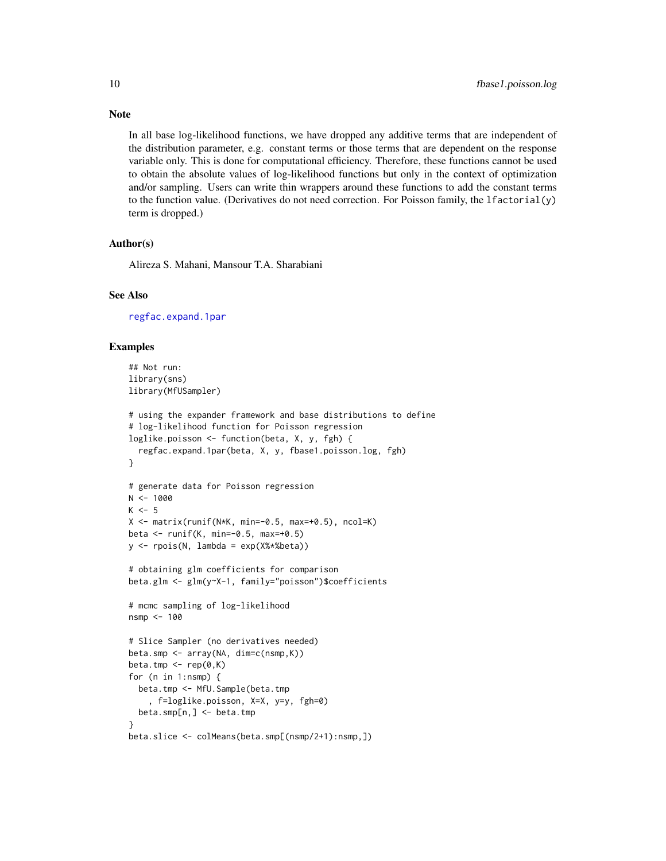In all base log-likelihood functions, we have dropped any additive terms that are independent of the distribution parameter, e.g. constant terms or those terms that are dependent on the response variable only. This is done for computational efficiency. Therefore, these functions cannot be used to obtain the absolute values of log-likelihood functions but only in the context of optimization and/or sampling. Users can write thin wrappers around these functions to add the constant terms to the function value. (Derivatives do not need correction. For Poisson family, the lfactorial(y) term is dropped.)

#### Author(s)

Alireza S. Mahani, Mansour T.A. Sharabiani

#### See Also

[regfac.expand.1par](#page-17-1)

#### Examples

```
## Not run:
library(sns)
library(MfUSampler)
# using the expander framework and base distributions to define
# log-likelihood function for Poisson regression
loglike.poisson <- function(beta, X, y, fgh) {
  regfac.expand.1par(beta, X, y, fbase1.poisson.log, fgh)
}
# generate data for Poisson regression
N < - 1000K < -5X \le - matrix(runif(N*K, min=-0.5, max=+0.5), ncol=K)
beta <- runif(K, min=-0.5, max=+0.5)
y <- rpois(N, lambda = exp(X%*%beta))
# obtaining glm coefficients for comparison
beta.glm <- glm(y~X-1, family="poisson")$coefficients
# mcmc sampling of log-likelihood
nsmp <- 100
# Slice Sampler (no derivatives needed)
beta.smp <- array(NA, dim=c(nsmp,K))
beta.tmp \leq rep(0,K)
for (n in 1:nsmp) {
  beta.tmp <- MfU.Sample(beta.tmp
    , f=loglike.poisson, X=X, y=y, fgh=0)
  beta.smp[n,] <- beta.tmp
}
beta.slice <- colMeans(beta.smp[(nsmp/2+1):nsmp,])
```
<span id="page-9-0"></span>

#### Note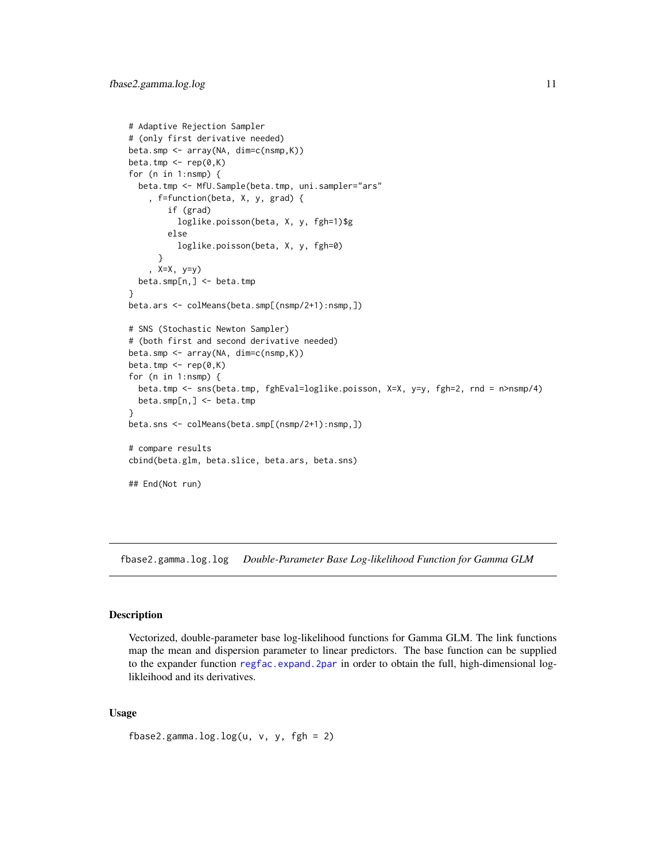```
# Adaptive Rejection Sampler
# (only first derivative needed)
beta.smp <- array(NA, dim=c(nsmp,K))
beta.tmp \leq rep(0,K)
for (n in 1:nsmp) {
  beta.tmp <- MfU.Sample(beta.tmp, uni.sampler="ars"
    , f=function(beta, X, y, grad) {
        if (grad)
          loglike.poisson(beta, X, y, fgh=1)$g
        else
          loglike.poisson(beta, X, y, fgh=0)
      }
    , X=X, y=y)
  beta.smp[n,] <- beta.tmp
}
beta.ars <- colMeans(beta.smp[(nsmp/2+1):nsmp,])
# SNS (Stochastic Newton Sampler)
# (both first and second derivative needed)
beta.smp <- array(NA, dim=c(nsmp,K))
beta.tmp \leq rep(0,K)
for (n in 1:nsmp) {
  beta.tmp <- sns(beta.tmp, fghEval=loglike.poisson, X=X, y=y, fgh=2, rnd = n>nsmp/4)
  beta.smp[n,] <- beta.tmp
}
beta.sns <- colMeans(beta.smp[(nsmp/2+1):nsmp,])
# compare results
cbind(beta.glm, beta.slice, beta.ars, beta.sns)
## End(Not run)
```
fbase2.gamma.log.log *Double-Parameter Base Log-likelihood Function for Gamma GLM*

#### Description

Vectorized, double-parameter base log-likelihood functions for Gamma GLM. The link functions map the mean and dispersion parameter to linear predictors. The base function can be supplied to the expander function [regfac.expand.2par](#page-19-1) in order to obtain the full, high-dimensional loglikleihood and its derivatives.

#### Usage

```
fbase2.gamma.log.log(u, v, y, fgh = 2)
```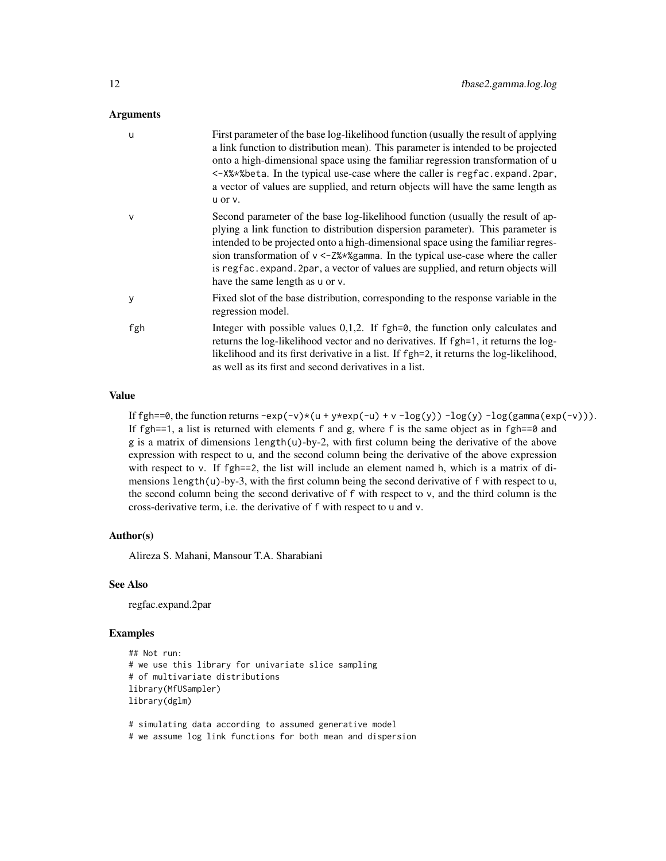#### Arguments

| u      | First parameter of the base log-likelihood function (usually the result of applying<br>a link function to distribution mean). This parameter is intended to be projected<br>onto a high-dimensional space using the familiar regression transformation of u<br><-X%*%beta. In the typical use-case where the caller is regfac.expand.2par,<br>a vector of values are supplied, and return objects will have the same length as<br>u or v.                           |
|--------|---------------------------------------------------------------------------------------------------------------------------------------------------------------------------------------------------------------------------------------------------------------------------------------------------------------------------------------------------------------------------------------------------------------------------------------------------------------------|
| $\vee$ | Second parameter of the base log-likelihood function (usually the result of ap-<br>plying a link function to distribution dispersion parameter). This parameter is<br>intended to be projected onto a high-dimensional space using the familiar regres-<br>sion transformation of $v < -Z$ %*%gamma. In the typical use-case where the caller<br>is regfac.expand.2par, a vector of values are supplied, and return objects will<br>have the same length as u or v. |
| y      | Fixed slot of the base distribution, corresponding to the response variable in the<br>regression model.                                                                                                                                                                                                                                                                                                                                                             |
| fgh    | Integer with possible values $0,1,2$ . If fgh= $\theta$ , the function only calculates and<br>returns the log-likelihood vector and no derivatives. If fgh=1, it returns the log-<br>likelihood and its first derivative in a list. If fgh=2, it returns the log-likelihood,<br>as well as its first and second derivatives in a list.                                                                                                                              |

#### Value

If fgh==0, the function returns  $-\exp(-v)*(u + y*\exp(-u) + v - \log(y)) - \log(y) - \log(g\text{amma}(\exp(-v))).$ If fgh==1, a list is returned with elements f and g, where f is the same object as in fgh== $\theta$  and  $g$  is a matrix of dimensions length(u)-by-2, with first column being the derivative of the above expression with respect to u, and the second column being the derivative of the above expression with respect to v. If fgh==2, the list will include an element named h, which is a matrix of dimensions length $(u)$ -by-3, with the first column being the second derivative of f with respect to u, the second column being the second derivative of f with respect to v, and the third column is the cross-derivative term, i.e. the derivative of f with respect to u and v.

#### Author(s)

Alireza S. Mahani, Mansour T.A. Sharabiani

#### See Also

regfac.expand.2par

#### Examples

```
## Not run:
# we use this library for univariate slice sampling
# of multivariate distributions
library(MfUSampler)
library(dglm)
```
# simulating data according to assumed generative model

# we assume log link functions for both mean and dispersion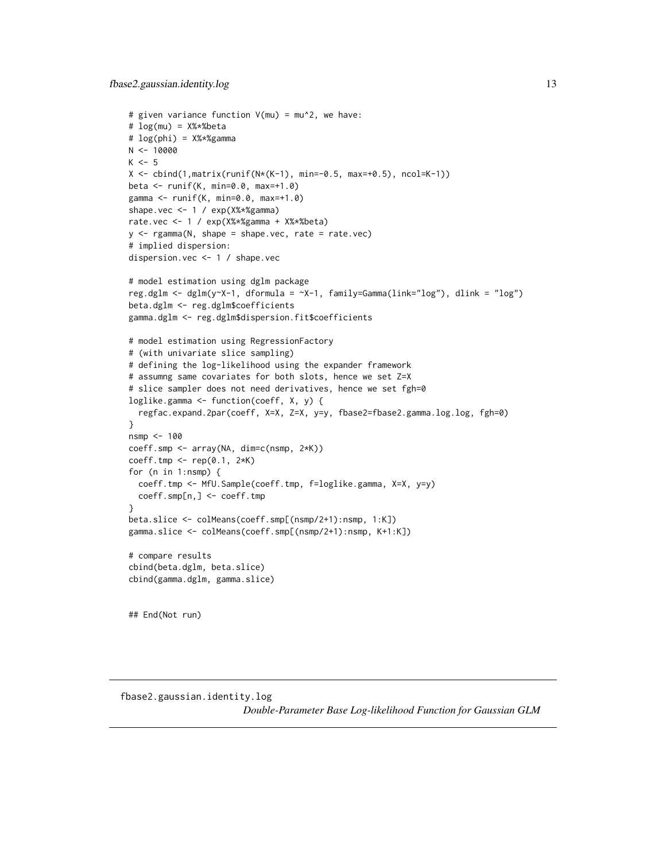```
# given variance function V(mu) = mu^2, we have:
# log(mu) = X%*%beta
# log(phi) = X%*%gamma
N < - 10000K < -5X \le cbind(1, matrix(runif(N*(K-1), min=-0.5, max=+0.5), ncol=K-1))
beta <- runif(K, min=0.0, max=+1.0)
gamma <- runif(K, min=0.0, max=+1.0)
shape.vec <- 1 / exp(X%*%gamma)
rate.vec <- 1 / exp(X%*%gamma + X%*%beta)
y <- rgamma(N, shape = shape.vec, rate = rate.vec)
# implied dispersion:
dispersion.vec <- 1 / shape.vec
# model estimation using dglm package
reg.dglm <- dglm(y~X-1, dformula = ~X-1, family=Gamma(link="log"), dlink = "log")
beta.dglm <- reg.dglm$coefficients
gamma.dglm <- reg.dglm$dispersion.fit$coefficients
# model estimation using RegressionFactory
# (with univariate slice sampling)
# defining the log-likelihood using the expander framework
# assumng same covariates for both slots, hence we set Z=X
# slice sampler does not need derivatives, hence we set fgh=0
loglike.gamma <- function(coeff, X, y) {
  regfac.expand.2par(coeff, X=X, Z=X, y=y, fbase2=fbase2.gamma.log.log, fgh=0)
}
nsmp <- 100
coeff.smp <- array(NA, dim=c(nsmp, 2*K))
coeff.tmp <- rep(0.1, 2*K)
for (n in 1:nsmp) {
  coeff.tmp <- MfU.Sample(coeff.tmp, f=loglike.gamma, X=X, y=y)
  coeff.smp[n,] <- coeff.tmp
}
beta.slice <- colMeans(coeff.smp[(nsmp/2+1):nsmp, 1:K])
gamma.slice <- colMeans(coeff.smp[(nsmp/2+1):nsmp, K+1:K])
# compare results
cbind(beta.dglm, beta.slice)
cbind(gamma.dglm, gamma.slice)
## End(Not run)
```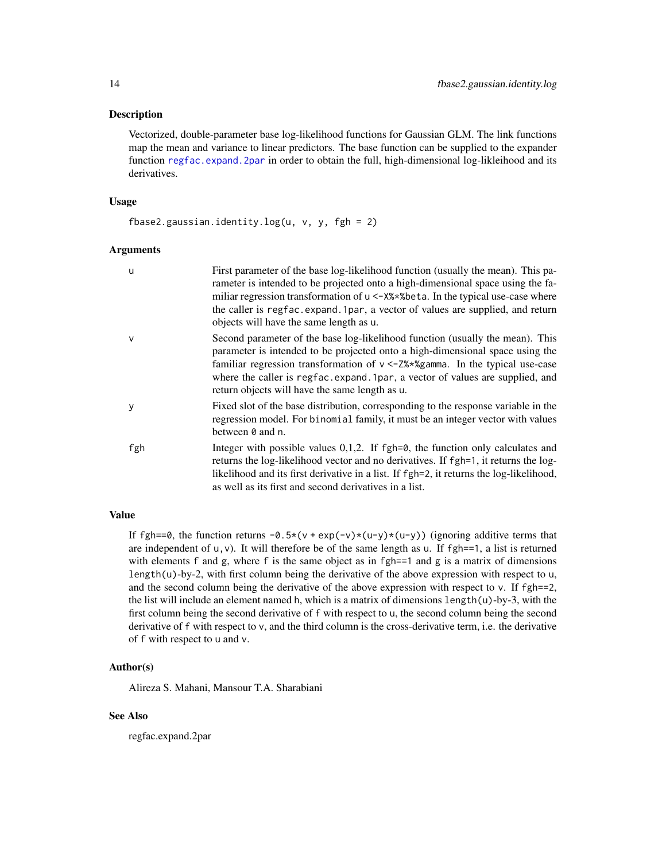#### <span id="page-13-0"></span>**Description**

Vectorized, double-parameter base log-likelihood functions for Gaussian GLM. The link functions map the mean and variance to linear predictors. The base function can be supplied to the expander function [regfac.expand.2par](#page-19-1) in order to obtain the full, high-dimensional log-likleihood and its derivatives.

#### Usage

fbase2.gaussian.identity.log(u,  $v$ ,  $y$ , fgh = 2)

#### Arguments

| $\mathbf u$  | First parameter of the base log-likelihood function (usually the mean). This pa-<br>rameter is intended to be projected onto a high-dimensional space using the fa-<br>miliar regression transformation of u <- X% * % beta. In the typical use-case where<br>the caller is regfac.expand.1par, a vector of values are supplied, and return<br>objects will have the same length as u. |
|--------------|----------------------------------------------------------------------------------------------------------------------------------------------------------------------------------------------------------------------------------------------------------------------------------------------------------------------------------------------------------------------------------------|
| $\mathsf{v}$ | Second parameter of the base log-likelihood function (usually the mean). This<br>parameter is intended to be projected onto a high-dimensional space using the<br>familiar regression transformation of $v < -2\%*\%$ gamma. In the typical use-case<br>where the caller is regfac.expand.1par, a vector of values are supplied, and<br>return objects will have the same length as u. |
| y            | Fixed slot of the base distribution, corresponding to the response variable in the<br>regression model. For binomial family, it must be an integer vector with values<br>between 0 and n.                                                                                                                                                                                              |
| fgh          | Integer with possible values $0,1,2$ . If fgh= $\theta$ , the function only calculates and<br>returns the log-likelihood vector and no derivatives. If fgh=1, it returns the log-<br>likelihood and its first derivative in a list. If fgh=2, it returns the log-likelihood,<br>as well as its first and second derivatives in a list.                                                 |

#### Value

If fgh==0, the function returns  $-0.5*(v + \exp(-v)*(u-y)*(u-y))$  (ignoring additive terms that are independent of  $u, v$ ). It will therefore be of the same length as u. If  $fgh == 1$ , a list is returned with elements f and g, where f is the same object as in fgh==1 and g is a matrix of dimensions length $(u)$ -by-2, with first column being the derivative of the above expression with respect to u, and the second column being the derivative of the above expression with respect to  $v$ . If  $fgh==2$ , the list will include an element named h, which is a matrix of dimensions length(u)-by-3, with the first column being the second derivative of f with respect to u, the second column being the second derivative of  $f$  with respect to  $v$ , and the third column is the cross-derivative term, i.e. the derivative of f with respect to u and v.

#### Author(s)

Alireza S. Mahani, Mansour T.A. Sharabiani

#### See Also

regfac.expand.2par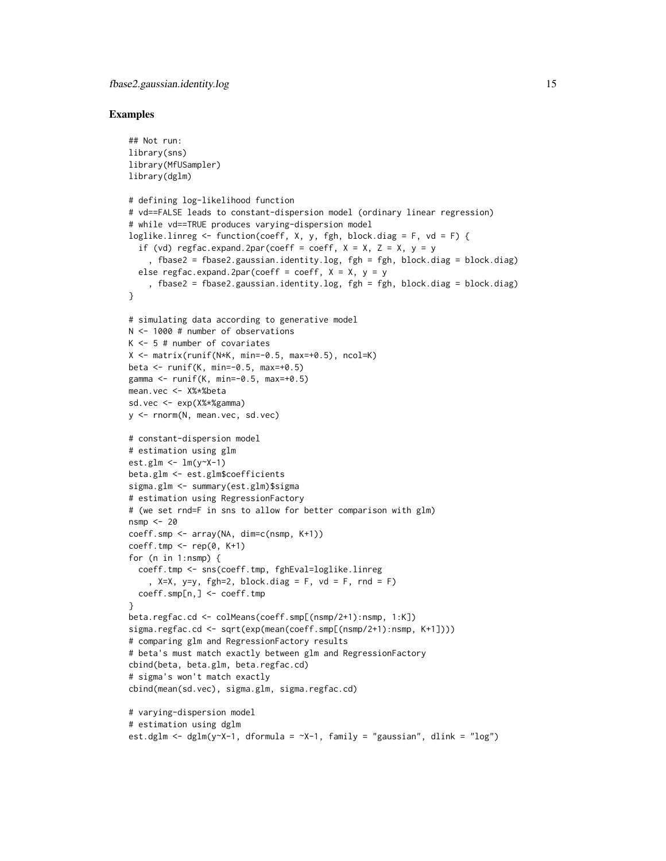```
## Not run:
library(sns)
library(MfUSampler)
library(dglm)
# defining log-likelihood function
# vd==FALSE leads to constant-dispersion model (ordinary linear regression)
# while vd==TRUE produces varying-dispersion model
loglike.linreg <- function(coeff, X, y, fgh, block.diag = F, vd = F) {
  if (vd) regfac.expand.2par(coeff = coeff, X = X, Z = X, y = y, fbase2 = fbase2.gaussian.identity.log, fgh = fgh, block.diag = block.diag)
  else regfac.expand.2par(coeff = coeff, X = X, y = y, fbase2 = fbase2.gaussian.identity.log, fgh = fgh, block.diag = block.diag)
}
# simulating data according to generative model
N <- 1000 # number of observations
K <- 5 # number of covariates
X \leq - matrix(runif(N*K, min=-0.5, max=+0.5), ncol=K)
beta <- runif(K, min=-0.5, max=+0.5)
gamma \le runif(K, min=-0.5, max=+0.5)
mean.vec <- X%*%beta
sd.vec <- exp(X%*%gamma)
y <- rnorm(N, mean.vec, sd.vec)
# constant-dispersion model
# estimation using glm
est.glm \leftarrow lm(y \simX-1)
beta.glm <- est.glm$coefficients
sigma.glm <- summary(est.glm)$sigma
# estimation using RegressionFactory
# (we set rnd=F in sns to allow for better comparison with glm)
nsmp <- 20
coeff.smp <- array(NA, dim=c(nsmp, K+1))
coeff.\text{tmp} \leq -\text{rep}(0, K+1)for (n in 1:nsmp) {
  coeff.tmp <- sns(coeff.tmp, fghEval=loglike.linreg
    , X=X, y=y, fgh=2, block.diag = F, vd = F, rnd = F)
  coeff.smp[n,] <- coeff.tmp
}
beta.regfac.cd <- colMeans(coeff.smp[(nsmp/2+1):nsmp, 1:K])
sigma.regfac.cd <- sqrt(exp(mean(coeff.smp[(nsmp/2+1):nsmp, K+1])))
# comparing glm and RegressionFactory results
# beta's must match exactly between glm and RegressionFactory
cbind(beta, beta.glm, beta.regfac.cd)
# sigma's won't match exactly
cbind(mean(sd.vec), sigma.glm, sigma.regfac.cd)
# varying-dispersion model
# estimation using dglm
est.dglm <- dglm(y~X-1, dformula = -x-1, family = "gaussian", dlink = "log")
```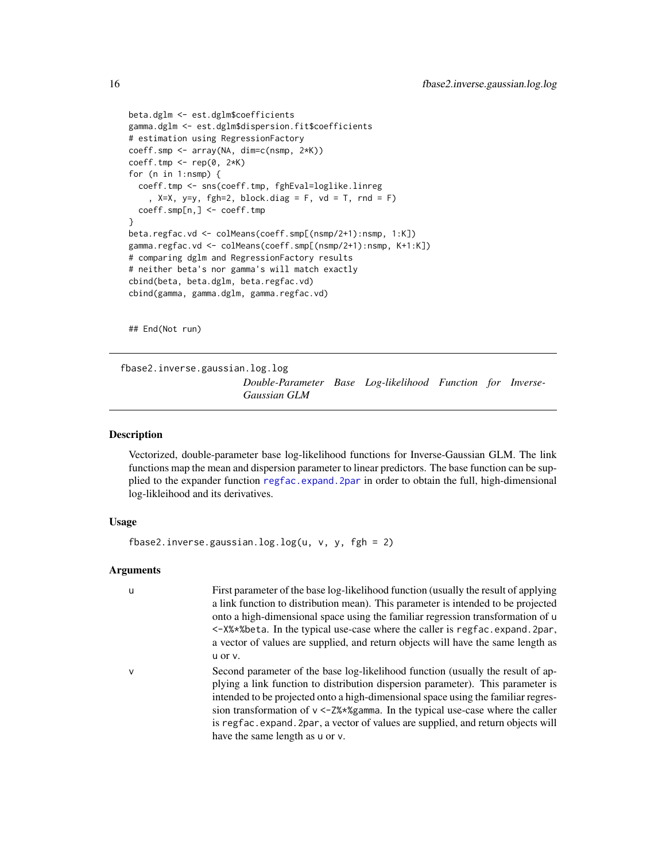```
beta.dglm <- est.dglm$coefficients
gamma.dglm <- est.dglm$dispersion.fit$coefficients
# estimation using RegressionFactory
coeff.smp <- array(NA, dim=c(nsmp, 2*K))
coeff.tmp <- rep(0, 2*K)
for (n in 1:nsmp) {
  coeff.tmp <- sns(coeff.tmp, fghEval=loglike.linreg
    , X=X, y=y, fgh=2, block.diag = F, vd = T, rnd = F)
  coeff.smp[n,] <- coeff.tmp
}
beta.regfac.vd <- colMeans(coeff.smp[(nsmp/2+1):nsmp, 1:K])
gamma.regfac.vd <- colMeans(coeff.smp[(nsmp/2+1):nsmp, K+1:K])
# comparing dglm and RegressionFactory results
# neither beta's nor gamma's will match exactly
cbind(beta, beta.dglm, beta.regfac.vd)
cbind(gamma, gamma.dglm, gamma.regfac.vd)
```
## End(Not run)

fbase2.inverse.gaussian.log.log

*Double-Parameter Base Log-likelihood Function for Inverse-Gaussian GLM*

#### Description

Vectorized, double-parameter base log-likelihood functions for Inverse-Gaussian GLM. The link functions map the mean and dispersion parameter to linear predictors. The base function can be supplied to the expander function [regfac.expand.2par](#page-19-1) in order to obtain the full, high-dimensional log-likleihood and its derivatives.

#### Usage

fbase2.inverse.gaussian.log.log(u,  $v$ ,  $y$ , fgh = 2)

have the same length as u or v.

#### Arguments

| u | First parameter of the base log-likelihood function (usually the result of applying                  |
|---|------------------------------------------------------------------------------------------------------|
|   | a link function to distribution mean). This parameter is intended to be projected                    |
|   | onto a high-dimensional space using the familiar regression transformation of u                      |
|   | <- X% * % beta. In the typical use-case where the caller is regfac. expand. 2par,                    |
|   | a vector of values are supplied, and return objects will have the same length as                     |
|   | u or v.                                                                                              |
| ν | Second parameter of the base log-likelihood function (usually the result of ap-                      |
|   | plying a link function to distribution dispersion parameter). This parameter is                      |
|   | intended to be projected onto a high-dimensional space using the familiar regres-                    |
|   | sion transformation of $v < -2\frac{8}{2}\frac{8}{2}$ amma. In the typical use-case where the caller |
|   | is regfac.expand.2par, a vector of values are supplied, and return objects will                      |

<span id="page-15-0"></span>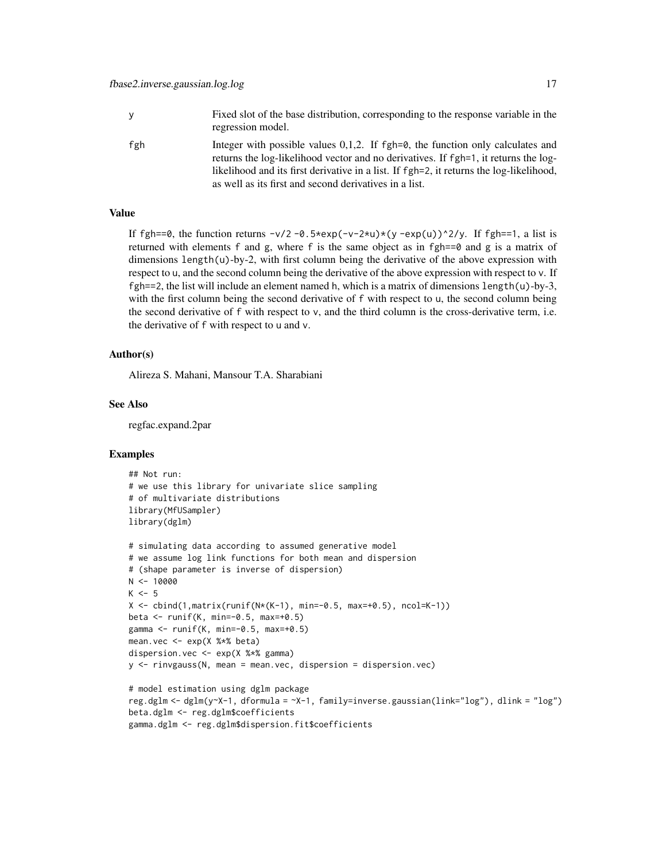| <b>y</b> | Fixed slot of the base distribution, corresponding to the response variable in the<br>regression model.                                                                                                                                                                                                                       |
|----------|-------------------------------------------------------------------------------------------------------------------------------------------------------------------------------------------------------------------------------------------------------------------------------------------------------------------------------|
| fgh      | Integer with possible values $0,1,2$ . If fgh=0, the function only calculates and<br>returns the log-likelihood vector and no derivatives. If fgh=1, it returns the log-<br>likelihood and its first derivative in a list. If fgh=2, it returns the log-likelihood,<br>as well as its first and second derivatives in a list. |

#### Value

If fgh==0, the function returns  $-v/2 -0.5$ \*exp(-v-2\*u)\*(y -exp(u))^2/y. If fgh==1, a list is returned with elements f and g, where f is the same object as in fgh==0 and g is a matrix of dimensions length $(u)$ -by-2, with first column being the derivative of the above expression with respect to u, and the second column being the derivative of the above expression with respect to v. If  $fgh==2$ , the list will include an element named h, which is a matrix of dimensions length $(u)$ -by-3, with the first column being the second derivative of f with respect to u, the second column being the second derivative of  $f$  with respect to  $v$ , and the third column is the cross-derivative term, i.e. the derivative of f with respect to u and v.

#### Author(s)

Alireza S. Mahani, Mansour T.A. Sharabiani

#### See Also

regfac.expand.2par

```
## Not run:
# we use this library for univariate slice sampling
# of multivariate distributions
library(MfUSampler)
library(dglm)
# simulating data according to assumed generative model
# we assume log link functions for both mean and dispersion
# (shape parameter is inverse of dispersion)
N < - 10000K < -5X \le - \text{cbind}(1, \text{matrix}(\text{runif}(N*(K-1), \text{min}=-0.5, \text{max}+0.5), \text{ncol}=(K-1))beta <- runif(K, min=-0.5, max=+0.5)
gamma <- runif(K, min=-0.5, max=+0.5)
mean.vec <- exp(X %*% beta)
dispersion.vec <- exp(X %*% gamma)
y <- rinvgauss(N, mean = mean.vec, dispersion = dispersion.vec)
# model estimation using dglm package
reg.dglm <- dglm(y~X-1, dformula = ~X-1, family=inverse.gaussian(link="log"), dlink = "log")
beta.dglm <- reg.dglm$coefficients
```

```
gamma.dglm <- reg.dglm$dispersion.fit$coefficients
```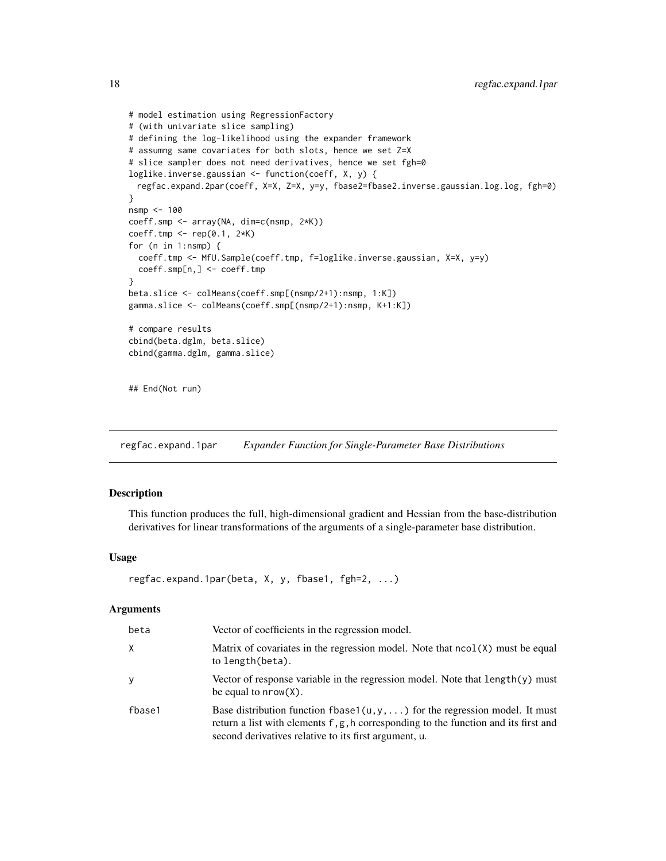```
# model estimation using RegressionFactory
# (with univariate slice sampling)
# defining the log-likelihood using the expander framework
# assumng same covariates for both slots, hence we set Z=X
# slice sampler does not need derivatives, hence we set fgh=0
loglike.inverse.gaussian <- function(coeff, X, y) {
 regfac.expand.2par(coeff, X=X, Z=X, y=y, fbase2=fbase2.inverse.gaussian.log.log, fgh=0)
}
nsmp <- 100
coeff.smp <- array(NA, dim=c(nsmp, 2*K))
coeff.tmp <- rep(0.1, 2*K)
for (n in 1:nsmp) {
  coeff.tmp <- MfU.Sample(coeff.tmp, f=loglike.inverse.gaussian, X=X, y=y)
  coeff.smp[n,] <- coeff.tmp
}
beta.slice <- colMeans(coeff.smp[(nsmp/2+1):nsmp, 1:K])
gamma.slice <- colMeans(coeff.smp[(nsmp/2+1):nsmp, K+1:K])
# compare results
cbind(beta.dglm, beta.slice)
cbind(gamma.dglm, gamma.slice)
## End(Not run)
```
<span id="page-17-1"></span>regfac.expand.1par *Expander Function for Single-Parameter Base Distributions*

#### Description

This function produces the full, high-dimensional gradient and Hessian from the base-distribution derivatives for linear transformations of the arguments of a single-parameter base distribution.

#### Usage

```
regfac.expand.1par(beta, X, y, fbase1, fgh=2, ...)
```
#### Arguments

| beta   | Vector of coefficients in the regression model.                                                                                                                                                                                       |
|--------|---------------------------------------------------------------------------------------------------------------------------------------------------------------------------------------------------------------------------------------|
| X      | Matrix of covariates in the regression model. Note that $ncol(X)$ must be equal<br>to length(beta).                                                                                                                                   |
| У      | Vector of response variable in the regression model. Note that $length(y)$ must<br>be equal to $nrow(X)$ .                                                                                                                            |
| fbase1 | Base distribution function fbase1( $u, y, \ldots$ ) for the regression model. It must<br>return a list with elements f, g, h corresponding to the function and its first and<br>second derivatives relative to its first argument, u. |

<span id="page-17-0"></span>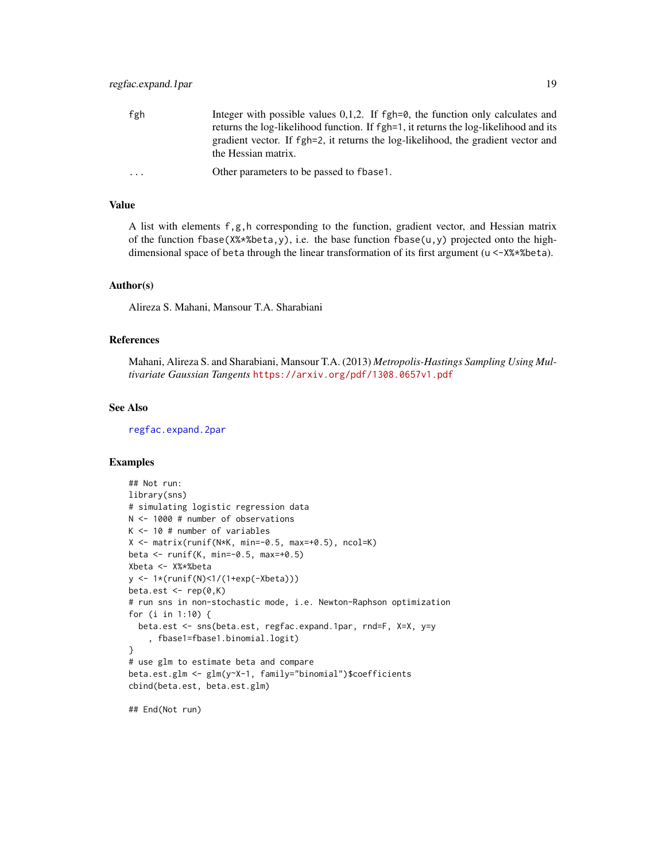<span id="page-18-0"></span>

| fgh                     | Integer with possible values $0,1,2$ . If fgh=0, the function only calculates and                        |
|-------------------------|----------------------------------------------------------------------------------------------------------|
|                         | returns the log-likelihood function. If fgh=1, it returns the log-likelihood and its                     |
|                         | gradient vector. If fgh=2, it returns the log-likelihood, the gradient vector and<br>the Hessian matrix. |
| $\cdot$ $\cdot$ $\cdot$ | Other parameters to be passed to fbase.                                                                  |

#### Value

A list with elements f,g,h corresponding to the function, gradient vector, and Hessian matrix of the function fbase(X%\*%beta,y), i.e. the base function fbase(u,y) projected onto the highdimensional space of beta through the linear transformation of its first argument (u <-X%\*%beta).

#### Author(s)

Alireza S. Mahani, Mansour T.A. Sharabiani

#### References

Mahani, Alireza S. and Sharabiani, Mansour T.A. (2013) *Metropolis-Hastings Sampling Using Multivariate Gaussian Tangents* <https://arxiv.org/pdf/1308.0657v1.pdf>

#### See Also

[regfac.expand.2par](#page-19-1)

## End(Not run)

```
## Not run:
library(sns)
# simulating logistic regression data
N <- 1000 # number of observations
K <- 10 # number of variables
X \leq - matrix(runif(N*K, min=-0.5, max=+0.5), ncol=K)
beta <- runif(K, min=-0.5, max=+0.5)
Xbeta <- X%*%beta
y <- 1*(runif(N)<1/(1+exp(-Xbeta)))
beta.est \leq rep(0,K)
# run sns in non-stochastic mode, i.e. Newton-Raphson optimization
for (i in 1:10) {
  beta.est <- sns(beta.est, regfac.expand.1par, rnd=F, X=X, y=y
    , fbase1=fbase1.binomial.logit)
}
# use glm to estimate beta and compare
beta.est.glm <- glm(y~X-1, family="binomial")$coefficients
cbind(beta.est, beta.est.glm)
```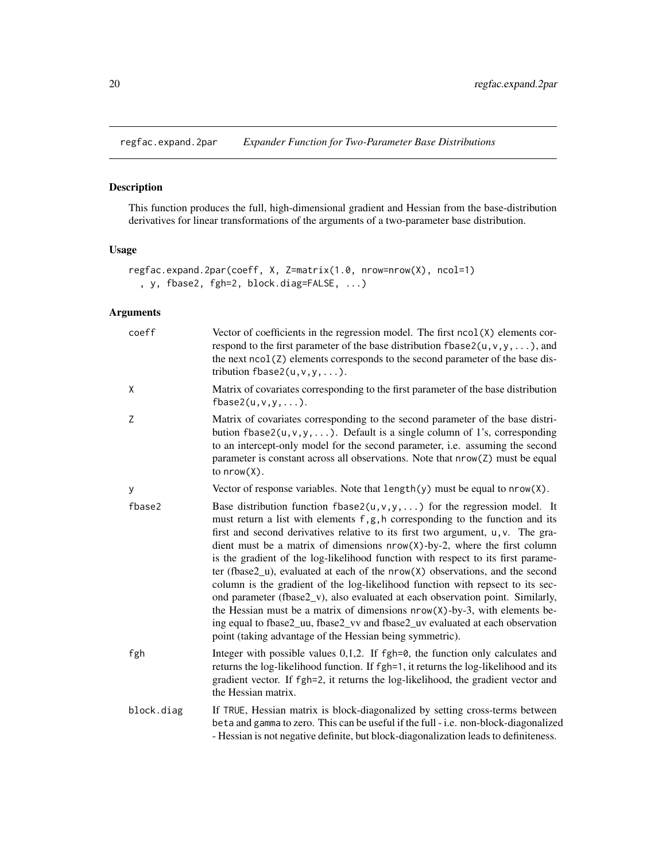<span id="page-19-1"></span><span id="page-19-0"></span>regfac.expand.2par *Expander Function for Two-Parameter Base Distributions*

#### Description

This function produces the full, high-dimensional gradient and Hessian from the base-distribution derivatives for linear transformations of the arguments of a two-parameter base distribution.

#### Usage

```
regfac.expand.2par(coeff, X, Z=matrix(1.0, nrow=nrow(X), ncol=1)
  , y, fbase2, fgh=2, block.diag=FALSE, ...)
```
#### Arguments

| coeff      | Vector of coefficients in the regression model. The first $ncol(X)$ elements cor-<br>respond to the first parameter of the base distribution $fbase2(u, v, y, \dots)$ , and<br>the next ncol(Z) elements corresponds to the second parameter of the base dis-<br>tribution $fbase2(u, v, y, \ldots)$ .                                                                                                                                                                                                                                                                                                                                                                                                                                                                                                                                                                                                            |
|------------|-------------------------------------------------------------------------------------------------------------------------------------------------------------------------------------------------------------------------------------------------------------------------------------------------------------------------------------------------------------------------------------------------------------------------------------------------------------------------------------------------------------------------------------------------------------------------------------------------------------------------------------------------------------------------------------------------------------------------------------------------------------------------------------------------------------------------------------------------------------------------------------------------------------------|
| Χ          | Matrix of covariates corresponding to the first parameter of the base distribution<br>fbase2(u,v,y,).                                                                                                                                                                                                                                                                                                                                                                                                                                                                                                                                                                                                                                                                                                                                                                                                             |
| Z          | Matrix of covariates corresponding to the second parameter of the base distri-<br>bution fbase2( $u, v, y, \ldots$ ). Default is a single column of 1's, corresponding<br>to an intercept-only model for the second parameter, i.e. assuming the second<br>parameter is constant across all observations. Note that nrow(Z) must be equal<br>to $nrow(X)$ .                                                                                                                                                                                                                                                                                                                                                                                                                                                                                                                                                       |
| У          | Vector of response variables. Note that $length(y)$ must be equal to $nrow(X)$ .                                                                                                                                                                                                                                                                                                                                                                                                                                                                                                                                                                                                                                                                                                                                                                                                                                  |
| fbase2     | Base distribution function fbase2( $u, v, y, \ldots$ ) for the regression model. It<br>must return a list with elements f, g, h corresponding to the function and its<br>first and second derivatives relative to its first two argument, u, v. The gra-<br>dient must be a matrix of dimensions $nrow(X)$ -by-2, where the first column<br>is the gradient of the log-likelihood function with respect to its first parame-<br>ter (fbase2_u), evaluated at each of the $nrow(X)$ observations, and the second<br>column is the gradient of the log-likelihood function with repsect to its sec-<br>ond parameter (fbase2_v), also evaluated at each observation point. Similarly,<br>the Hessian must be a matrix of dimensions $nrow(X)$ -by-3, with elements be-<br>ing equal to fbase2_uu, fbase2_vv and fbase2_uv evaluated at each observation<br>point (taking advantage of the Hessian being symmetric). |
| fgh        | Integer with possible values $0,1,2$ . If fgh=0, the function only calculates and<br>returns the log-likelihood function. If fgh=1, it returns the log-likelihood and its<br>gradient vector. If fgh=2, it returns the log-likelihood, the gradient vector and<br>the Hessian matrix.                                                                                                                                                                                                                                                                                                                                                                                                                                                                                                                                                                                                                             |
| block.diag | If TRUE, Hessian matrix is block-diagonalized by setting cross-terms between<br>beta and gamma to zero. This can be useful if the full - i.e. non-block-diagonalized<br>- Hessian is not negative definite, but block-diagonalization leads to definiteness.                                                                                                                                                                                                                                                                                                                                                                                                                                                                                                                                                                                                                                                      |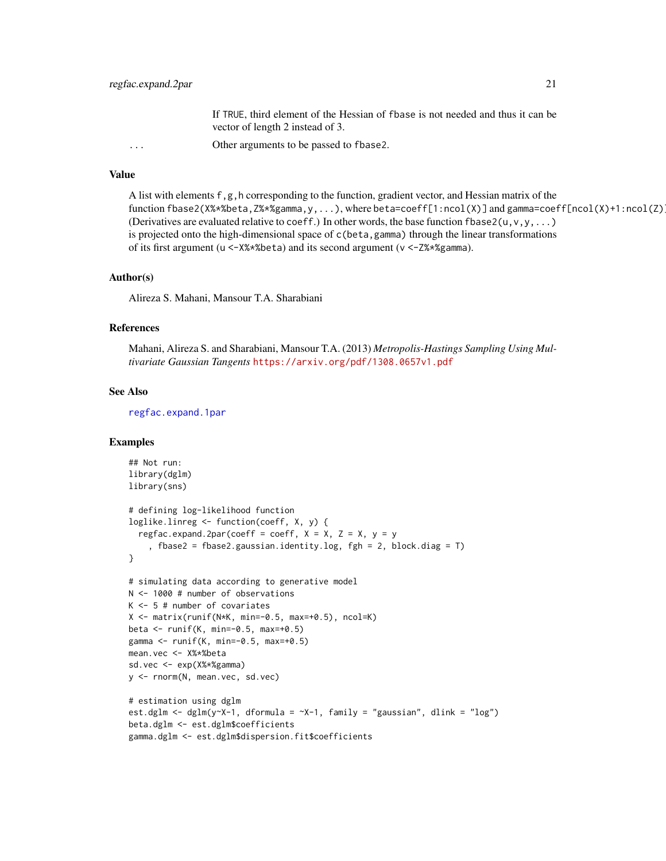If TRUE, third element of the Hessian of fbase is not needed and thus it can be vector of length 2 instead of 3.

<span id="page-20-0"></span>... Other arguments to be passed to fbase2.

#### Value

```
A list with elements f, g, h corresponding to the function, gradient vector, and Hessian matrix of the
function fbase2(X%*%beta,Z%*%gamma,y,...), where beta=coeff[1:ncol(X)] and gamma=coeff[ncol(X)+1:ncol(Z)].
(Derivatives are evaluated relative to coeff.) In other words, the base function fbase 2(u, v, y, \ldots)is projected onto the high-dimensional space of c(beta,gamma) through the linear transformations
of its first argument (u <-X%*%beta) and its second argument (v <-Z%*%gamma).
```
#### Author(s)

Alireza S. Mahani, Mansour T.A. Sharabiani

#### References

Mahani, Alireza S. and Sharabiani, Mansour T.A. (2013) *Metropolis-Hastings Sampling Using Multivariate Gaussian Tangents* <https://arxiv.org/pdf/1308.0657v1.pdf>

#### See Also

[regfac.expand.1par](#page-17-1)

```
## Not run:
library(dglm)
library(sns)
# defining log-likelihood function
loglike.linreg <- function(coeff, X, y) {
  regfac.expand.2par(coeff = coeff, X = X, Z = X, y = y, fbase2 = fbase2.gaussian.identity.log, fgh = 2, block.diag = T)
}
# simulating data according to generative model
N <- 1000 # number of observations
K <- 5 # number of covariates
X \leq - matrix(runif(N*K, min=-0.5, max=+0.5), ncol=K)
beta <- runif(K, min=-0.5, max=+0.5)
gamma <- runif(K, min=-0.5, max=+0.5)
mean.vec <- X%*%beta
sd.vec <- exp(X%*%gamma)
y <- rnorm(N, mean.vec, sd.vec)
# estimation using dglm
est.dglm <- dglm(y~X-1, dformula = -x-1, family = "gaussian", dlink = "log")
beta.dglm <- est.dglm$coefficients
gamma.dglm <- est.dglm$dispersion.fit$coefficients
```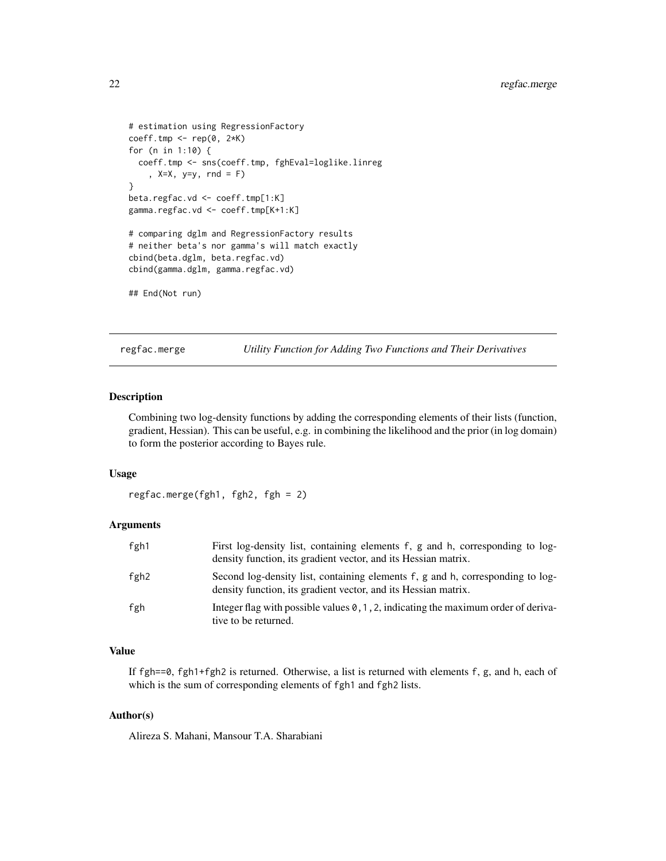```
# estimation using RegressionFactory
coeff.tmp \leftarrow rep(0, 2*K)for (n in 1:10) {
  coeff.tmp <- sns(coeff.tmp, fghEval=loglike.linreg
    , X=X, y=y, rnd = F)
}
beta.regfac.vd <- coeff.tmp[1:K]
gamma.regfac.vd <- coeff.tmp[K+1:K]
# comparing dglm and RegressionFactory results
# neither beta's nor gamma's will match exactly
cbind(beta.dglm, beta.regfac.vd)
cbind(gamma.dglm, gamma.regfac.vd)
## End(Not run)
```
regfac.merge *Utility Function for Adding Two Functions and Their Derivatives*

#### Description

Combining two log-density functions by adding the corresponding elements of their lists (function, gradient, Hessian). This can be useful, e.g. in combining the likelihood and the prior (in log domain) to form the posterior according to Bayes rule.

#### Usage

regfac.merge(fgh1, fgh2, fgh = 2)

#### Arguments

| fgh1 | First log-density list, containing elements f, g and h, corresponding to log-<br>density function, its gradient vector, and its Hessian matrix.  |
|------|--------------------------------------------------------------------------------------------------------------------------------------------------|
| fgh2 | Second log-density list, containing elements f, g and h, corresponding to log-<br>density function, its gradient vector, and its Hessian matrix. |
| fgh  | Integer flag with possible values $\theta$ , 1, 2, indicating the maximum order of deriva-<br>tive to be returned.                               |

#### Value

If fgh==0, fgh1+fgh2 is returned. Otherwise, a list is returned with elements f, g, and h, each of which is the sum of corresponding elements of fgh1 and fgh2 lists.

#### Author(s)

Alireza S. Mahani, Mansour T.A. Sharabiani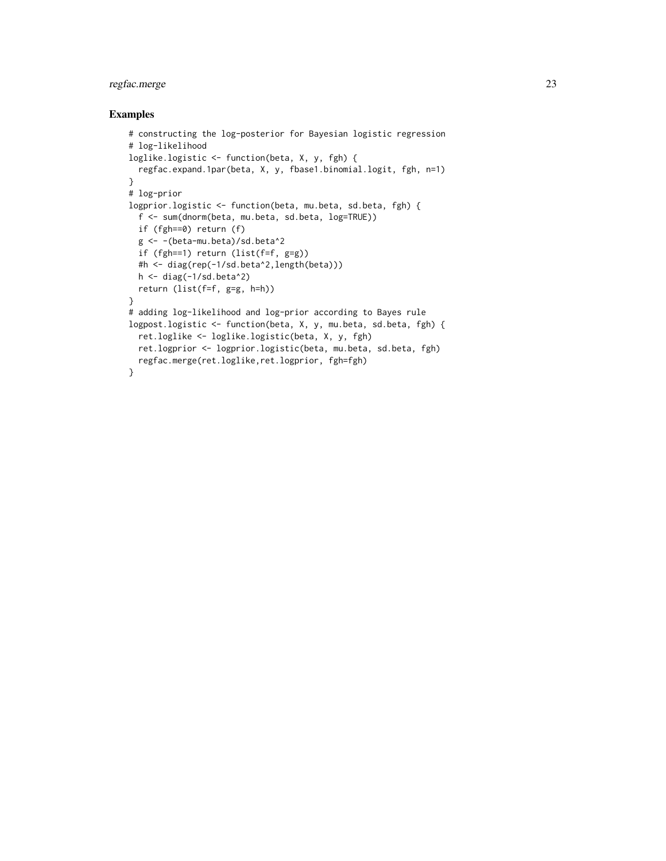#### regfac.merge 23

```
# constructing the log-posterior for Bayesian logistic regression
# log-likelihood
loglike.logistic <- function(beta, X, y, fgh) {
  regfac.expand.1par(beta, X, y, fbase1.binomial.logit, fgh, n=1)
}
# log-prior
logprior.logistic <- function(beta, mu.beta, sd.beta, fgh) {
  f <- sum(dnorm(beta, mu.beta, sd.beta, log=TRUE))
  if (fgh==0) return (f)
  g <- -(beta-mu.beta)/sd.beta^2
  if (fgh==1) return (list(f=f, g=g))
  #h <- diag(rep(-1/sd.beta^2,length(beta)))
  h <- diag(-1/sd.beta^2)
  return (list(f=f, g=g, h=h))
}
# adding log-likelihood and log-prior according to Bayes rule
logpost.logistic <- function(beta, X, y, mu.beta, sd.beta, fgh) {
  ret.loglike <- loglike.logistic(beta, X, y, fgh)
  ret.logprior <- logprior.logistic(beta, mu.beta, sd.beta, fgh)
  regfac.merge(ret.loglike,ret.logprior, fgh=fgh)
}
```